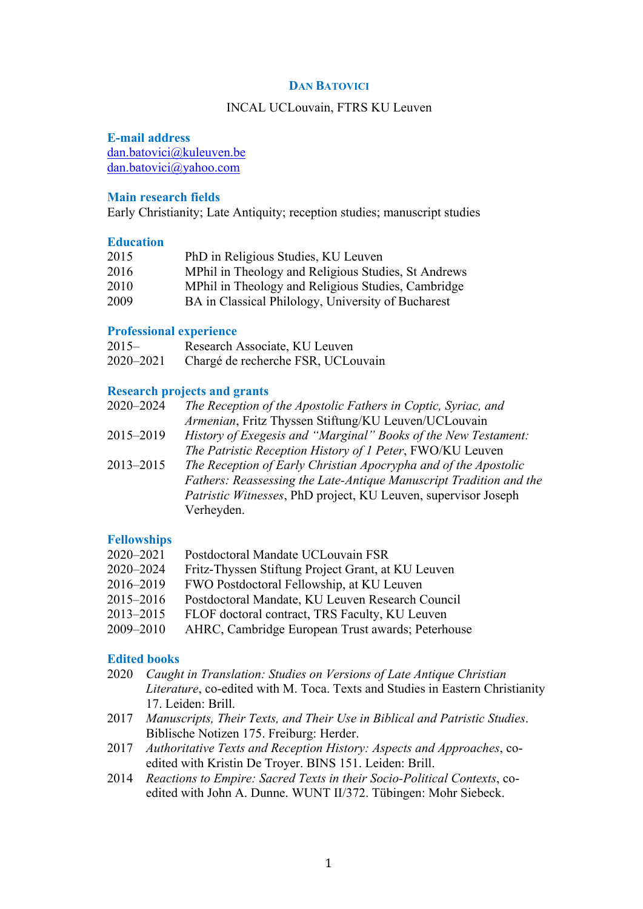## **DAN BATOVICI**

#### INCAL UCLouvain, FTRS KU Leuven

## **E-mail address**

[dan.batovici@kuleuven.be](mailto:dan.batovici@kuleuven.be) [dan.batovici@yahoo.com](mailto:dan.batovici@yahoo.com)

### **Main research fields**

Early Christianity; Late Antiquity; reception studies; manuscript studies

## **Education**

| 2015 | PhD in Religious Studies, KU Leuven                 |
|------|-----------------------------------------------------|
| 2016 | MPhil in Theology and Religious Studies, St Andrews |
| 2010 | MPhil in Theology and Religious Studies, Cambridge  |
| 2009 | BA in Classical Philology, University of Bucharest  |

#### **Professional experience**

| $2015 -$  | Research Associate, KU Leuven      |
|-----------|------------------------------------|
| 2020–2021 | Chargé de recherche FSR, UCLouvain |

#### **Research projects and grants**

| 2020-2024 | The Reception of the Apostolic Fathers in Coptic, Syriac, and         |
|-----------|-----------------------------------------------------------------------|
|           | Armenian, Fritz Thyssen Stiftung/KU Leuven/UCLouvain                  |
| 2015–2019 | <i>History of Exegesis and "Marginal" Books of the New Testament:</i> |
|           | The Patristic Reception History of 1 Peter, FWO/KU Leuven             |
| 2013-2015 | The Reception of Early Christian Apocrypha and of the Apostolic       |
|           | Fathers: Reassessing the Late-Antique Manuscript Tradition and the    |
|           | Patristic Witnesses, PhD project, KU Leuven, supervisor Joseph        |
|           | Verheyden.                                                            |

# **Fellowships**

| 2020–2021 | Postdoctoral Mandate UCLouvain FSR                 |
|-----------|----------------------------------------------------|
| 2020-2024 | Fritz-Thyssen Stiftung Project Grant, at KU Leuven |
| 2016–2019 | FWO Postdoctoral Fellowship, at KU Leuven          |
| 2015–2016 | Postdoctoral Mandate, KU Leuven Research Council   |
|           |                                                    |

- 2013–2015 FLOF doctoral contract, TRS Faculty, KU Leuven
- 2009–2010 AHRC, Cambridge European Trust awards; Peterhouse

# **Edited books**

- 2020 *Caught in Translation: Studies on Versions of Late Antique Christian Literature*, co-edited with M. Toca. Texts and Studies in Eastern Christianity 17. Leiden: Brill.
- 2017 *Manuscripts, Their Texts, and Their Use in Biblical and Patristic Studies*. Biblische Notizen 175. Freiburg: Herder.
- 2017 *Authoritative Texts and Reception History: Aspects and Approaches*, coedited with Kristin De Troyer. BINS 151. Leiden: Brill.
- 2014 *Reactions to Empire: Sacred Texts in their Socio-Political Contexts*, coedited with John A. Dunne. WUNT II/372. Tübingen: Mohr Siebeck.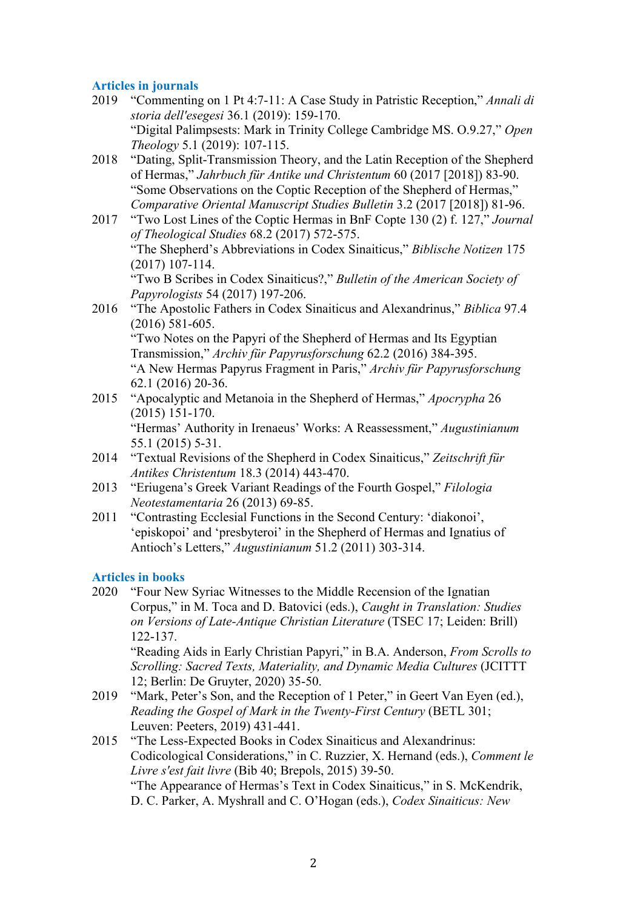# **Articles in journals**

- 2019 "Commenting on 1 Pt 4:7-11: A Case Study in Patristic Reception," *Annali di storia dell'esegesi* 36.1 (2019): 159-170. "Digital Palimpsests: Mark in Trinity College Cambridge MS. O.9.27," *Open Theology* 5.1 (2019): 107-115.
- 2018 "Dating, Split-Transmission Theory, and the Latin Reception of the Shepherd of Hermas," *Jahrbuch für Antike und Christentum* 60 (2017 [2018]) 83-90. "Some Observations on the Coptic Reception of the Shepherd of Hermas," *Comparative Oriental Manuscript Studies Bulletin* 3.2 (2017 [2018]) 81-96.
- 2017 "Two Lost Lines of the Coptic Hermas in BnF Copte 130 (2) f. 127," *Journal of Theological Studies* 68.2 (2017) 572-575. "The Shepherd's Abbreviations in Codex Sinaiticus," *Biblische Notizen* 175 (2017) 107-114. "Two B Scribes in Codex Sinaiticus?," *Bulletin of the American Society of Papyrologists* 54 (2017) 197-206.
- 2016 "The Apostolic Fathers in Codex Sinaiticus and Alexandrinus," *Biblica* 97.4 (2016) 581-605. "Two Notes on the Papyri of the Shepherd of Hermas and Its Egyptian Transmission," *Archiv für Papyrusforschung* 62.2 (2016) 384-395. "A New Hermas Papyrus Fragment in Paris," *Archiv für Papyrusforschung* 62.1 (2016) 20-36.
- 2015 "Apocalyptic and Metanoia in the Shepherd of Hermas," *Apocrypha* 26 (2015) 151-170. "Hermas' Authority in Irenaeus' Works: A Reassessment," *Augustinianum* 55.1 (2015) 5-31.
- 2014 "Textual Revisions of the Shepherd in Codex Sinaiticus," *Zeitschrift für Antikes Christentum* 18.3 (2014) 443-470.
- 2013 "Eriugena's Greek Variant Readings of the Fourth Gospel," *Filologia Neotestamentaria* 26 (2013) 69-85.
- 2011 "Contrasting Ecclesial Functions in the Second Century: 'diakonoi', 'episkopoi' and 'presbyteroi' in the Shepherd of Hermas and Ignatius of Antioch's Letters," *Augustinianum* 51.2 (2011) 303-314.

# **Articles in books**

2020 "Four New Syriac Witnesses to the Middle Recension of the Ignatian Corpus," in M. Toca and D. Batovici (eds.), *Caught in Translation: Studies on Versions of Late-Antique Christian Literature* (TSEC 17; Leiden: Brill) 122-137.

"Reading Aids in Early Christian Papyri," in B.A. Anderson, *From Scrolls to Scrolling: Sacred Texts, Materiality, and Dynamic Media Cultures* (JCITTT 12; Berlin: De Gruyter, 2020) 35-50.

- 2019 "Mark, Peter's Son, and the Reception of 1 Peter," in Geert Van Eyen (ed.), *Reading the Gospel of Mark in the Twenty-First Century* (BETL 301; Leuven: Peeters, 2019) 431-441.
- 2015 "The Less-Expected Books in Codex Sinaiticus and Alexandrinus: Codicological Considerations," in C. Ruzzier, X. Hernand (eds.), *Comment le Livre s'est fait livre* (Bib 40; Brepols, 2015) 39-50. "The Appearance of Hermas's Text in Codex Sinaiticus," in S. McKendrik, D. C. Parker, A. Myshrall and C. O'Hogan (eds.), *Codex Sinaiticus: New*